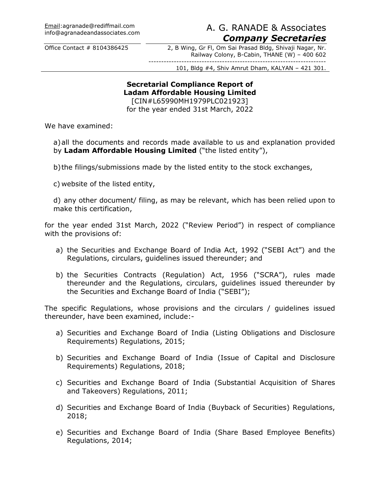# info@agranadeandassociates.com A. G. RANADE & Associates *Company Secretaries*

Office Contact # 8104386425 2, B Wing, Gr Fl, Om Sai Prasad Bldg, Shivaji Nagar, Nr. Railway Colony, B-Cabin, THANE (W) – 400 602 ----------------------------------------------------------------------

101, Bldg #4, Shiv Amrut Dham, KALYAN – 421 301.

#### **Secretarial Compliance Report of Ladam Affordable Housing Limited**

[CIN#L65990MH1979PLC021923] for the year ended 31st March, 2022

We have examined:

a)all the documents and records made available to us and explanation provided by **Ladam Affordable Housing Limited** ("the listed entity"),

b)the filings/submissions made by the listed entity to the stock exchanges,

c) website of the listed entity,

d) any other document/ filing, as may be relevant, which has been relied upon to make this certification,

for the year ended 31st March, 2022 ("Review Period") in respect of compliance with the provisions of:

- a) the Securities and Exchange Board of India Act, 1992 ("SEBI Act") and the Regulations, circulars, guidelines issued thereunder; and
- b) the Securities Contracts (Regulation) Act, 1956 ("SCRA"), rules made thereunder and the Regulations, circulars, guidelines issued thereunder by the Securities and Exchange Board of India ("SEBI");

The specific Regulations, whose provisions and the circulars / guidelines issued thereunder, have been examined, include:-

- a) Securities and Exchange Board of India (Listing Obligations and Disclosure Requirements) Regulations, 2015;
- b) Securities and Exchange Board of India (Issue of Capital and Disclosure Requirements) Regulations, 2018;
- c) Securities and Exchange Board of India (Substantial Acquisition of Shares and Takeovers) Regulations, 2011;
- d) Securities and Exchange Board of India (Buyback of Securities) Regulations, 2018;
- e) Securities and Exchange Board of India (Share Based Employee Benefits) Regulations, 2014;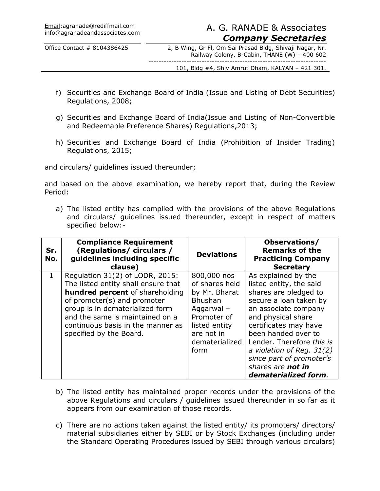# info@agranadeandassociates.com A. G. RANADE & Associates *Company Secretaries*

Office Contact # 8104386425 2, B Wing, Gr Fl, Om Sai Prasad Bldg, Shivaji Nagar, Nr. Railway Colony, B-Cabin, THANE (W) – 400 602 ----------------------------------------------------------------------

101, Bldg #4, Shiv Amrut Dham, KALYAN – 421 301.

- f) Securities and Exchange Board of India (Issue and Listing of Debt Securities) Regulations, 2008;
- g) Securities and Exchange Board of India(Issue and Listing of Non-Convertible and Redeemable Preference Shares) Regulations,2013;
- h) Securities and Exchange Board of India (Prohibition of Insider Trading) Regulations, 2015;

and circulars/ guidelines issued thereunder;

and based on the above examination, we hereby report that, during the Review Period:

a) The listed entity has complied with the provisions of the above Regulations and circulars/ guidelines issued thereunder, except in respect of matters specified below:-

| Sr.<br>No.   | <b>Compliance Requirement</b><br>(Regulations/ circulars /<br>guidelines including specific<br>clause)                                                                                                                                                                                | <b>Deviations</b>                                                                                                                                      | Observations/<br><b>Remarks of the</b><br><b>Practicing Company</b><br><b>Secretary</b>                                                                                                                                                                                                                                              |
|--------------|---------------------------------------------------------------------------------------------------------------------------------------------------------------------------------------------------------------------------------------------------------------------------------------|--------------------------------------------------------------------------------------------------------------------------------------------------------|--------------------------------------------------------------------------------------------------------------------------------------------------------------------------------------------------------------------------------------------------------------------------------------------------------------------------------------|
| $\mathbf{1}$ | Regulation 31(2) of LODR, 2015:<br>The listed entity shall ensure that<br><b>hundred percent</b> of shareholding<br>of promoter(s) and promoter<br>group is in dematerialized form<br>and the same is maintained on a<br>continuous basis in the manner as<br>specified by the Board. | 800,000 nos<br>of shares held<br>by Mr. Bharat<br><b>Bhushan</b><br>Aggarwal -<br>Promoter of<br>listed entity<br>are not in<br>dematerialized<br>form | As explained by the<br>listed entity, the said<br>shares are pledged to<br>secure a loan taken by<br>an associate company<br>and physical share<br>certificates may have<br>been handed over to<br>Lender. Therefore this is<br>a violation of Reg. $31(2)$<br>since part of promoter's<br>shares are not in<br>dematerialized form. |

- b) The listed entity has maintained proper records under the provisions of the above Regulations and circulars / guidelines issued thereunder in so far as it appears from our examination of those records.
- c) There are no actions taken against the listed entity/ its promoters/ directors/ material subsidiaries either by SEBI or by Stock Exchanges (including under the Standard Operating Procedures issued by SEBI through various circulars)